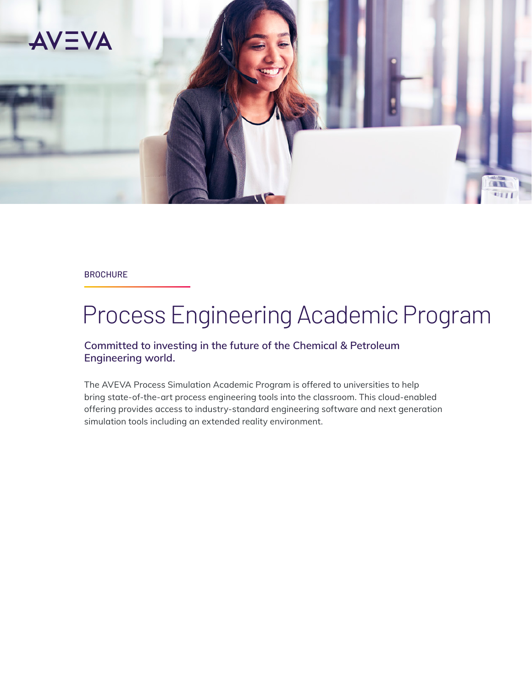

#### **BROCHURE**

# Process Engineering Academic Program

#### **Committed to investing in the future of the Chemical & Petroleum Engineering world.**

The AVEVA Process Simulation Academic Program is offered to universities to help bring state-of-the-art process engineering tools into the classroom. This cloud-enabled offering provides access to industry-standard engineering software and next generation simulation tools including an extended reality environment.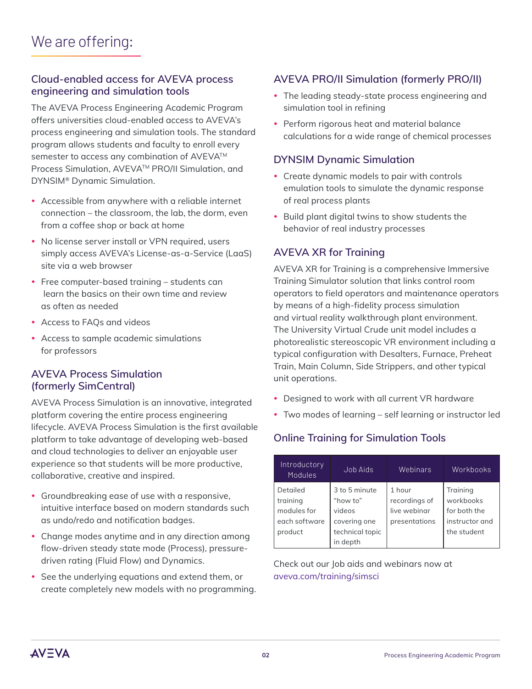#### **Cloud-enabled access for AVEVA process engineering and simulation tools**

The AVEVA Process Engineering Academic Program offers universities cloud-enabled access to AVEVA's process engineering and simulation tools. The standard program allows students and faculty to enroll every semester to access any combination of AVEVA™ Process Simulation, AVEVA™ PRO/II Simulation, and DYNSIM® Dynamic Simulation.

- Accessible from anywhere with a reliable internet connection – the classroom, the lab, the dorm, even from a coffee shop or back at home
- No license server install or VPN required, users simply access AVEVA's License-as-a-Service (LaaS) site via a web browser
- Free computer-based training students can learn the basics on their own time and review as often as needed
- Access to FAOs and videos
- Access to sample academic simulations for professors

#### **AVEVA Process Simulation (formerly SimCentral)**

AVEVA Process Simulation is an innovative, integrated platform covering the entire process engineering lifecycle. AVEVA Process Simulation is the first available platform to take advantage of developing web-based and cloud technologies to deliver an enjoyable user experience so that students will be more productive, collaborative, creative and inspired.

- Groundbreaking ease of use with a responsive, intuitive interface based on modern standards such as undo/redo and notification badges.
- Change modes anytime and in any direction among flow-driven steady state mode (Process), pressuredriven rating (Fluid Flow) and Dynamics.
- See the underlying equations and extend them, or create completely new models with no programming.

### **AVEVA PRO/II Simulation (formerly PRO/II)**

- The leading steady-state process engineering and simulation tool in refining
- Perform rigorous heat and material balance calculations for a wide range of chemical processes

#### **DYNSIM Dynamic Simulation**

- Create dynamic models to pair with controls emulation tools to simulate the dynamic response of real process plants
- Build plant digital twins to show students the behavior of real industry processes

#### **AVEVA XR for Training**

AVEVA XR for Training is a comprehensive Immersive Training Simulator solution that links control room operators to field operators and maintenance operators by means of a high-fidelity process simulation and virtual reality walkthrough plant environment. The University Virtual Crude unit model includes a photorealistic stereoscopic VR environment including a typical configuration with Desalters, Furnace, Preheat Train, Main Column, Side Strippers, and other typical unit operations.

- Designed to work with all current VR hardware
- Two modes of learning self learning or instructor led

### **Online Training for Simulation Tools**

| Introductory<br>Modules                              | Job Aids                                            | Webinars                                                 | Workbooks                                               |
|------------------------------------------------------|-----------------------------------------------------|----------------------------------------------------------|---------------------------------------------------------|
| Detailed<br>training<br>modules for<br>each software | 3 to 5 minute<br>"how to"<br>videos<br>covering one | 1 hour<br>recordings of<br>live webinar<br>presentations | Training<br>workbooks<br>for both the<br>instructor and |
| product                                              | technical topic<br>in depth                         |                                                          | the student                                             |

Check out our Job aids and webinars now at [aveva.com/training/simsci](http://sw.aveva.com/training/simsci)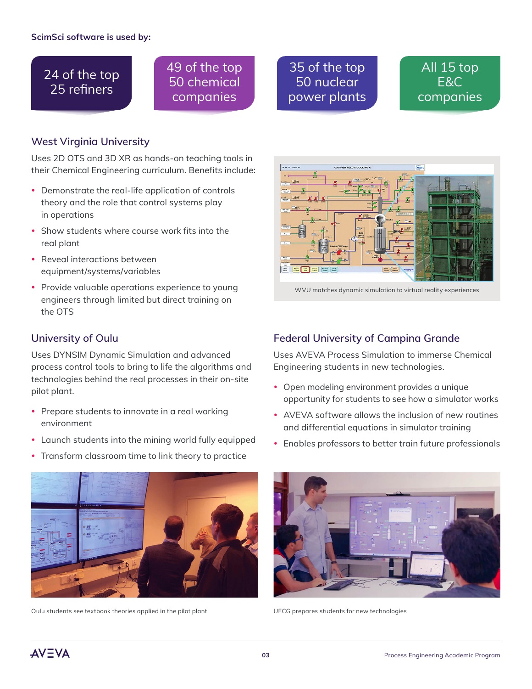# 24 of the top 25 refiners

49 of the top 50 chemical companies

## 35 of the top 50 nuclear power plants

# All 15 top E&C companies

#### **West Virginia University**

Uses 2D OTS and 3D XR as hands-on teaching tools in their Chemical Engineering curriculum. Benefits include:

- Demonstrate the real-life application of controls theory and the role that control systems play in operations
- Show students where course work fits into the real plant
- Reveal interactions between equipment/systems/variables
- Provide valuable operations experience to young engineers through limited but direct training on the OTS

#### **University of Oulu**

Uses DYNSIM Dynamic Simulation and advanced process control tools to bring to life the algorithms and technologies behind the real processes in their on-site pilot plant.

- Prepare students to innovate in a real working environment
- Launch students into the mining world fully equipped
- Transform classroom time to link theory to practice



Oulu students see textbook theories applied in the pilot plant UFCG prepares students for new technologies



WVU matches dynamic simulation to virtual reality experiences

#### **Federal University of Campina Grande**

Uses AVEVA Process Simulation to immerse Chemical Engineering students in new technologies.

- Open modeling environment provides a unique opportunity for students to see how a simulator works
- AVEVA software allows the inclusion of new routines and differential equations in simulator training
- Enables professors to better train future professionals



**AVEVA**